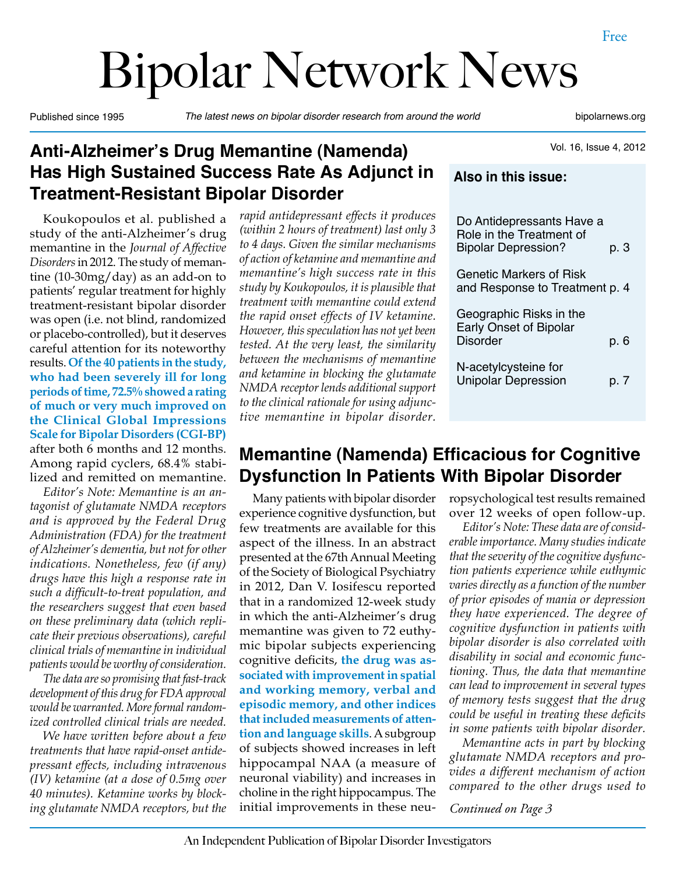# Bipolar Network News

Published since 1995 *The latest news on bipolar disorder research from around the world* bipolarnews.org

Vol. 16, Issue 4, 2012

## **Anti-Alzheimer's Drug Memantine (Namenda) Has High Sustained Success Rate As Adjunct in Treatment-Resistant Bipolar Disorder**

Koukopoulos et al. published a study of the anti-Alzheimer's drug memantine in the *Journal of Affective Disorders* in 2012. The study of memantine (10-30mg/day) as an add-on to patients' regular treatment for highly treatment-resistant bipolar disorder was open (i.e. not blind, randomized or placebo-controlled), but it deserves careful attention for its noteworthy results. **Of the 40 patients in the study, who had been severely ill for long periods of time, 72.5% showed a rating of much or very much improved on the Clinical Global Impressions Scale for Bipolar Disorders (CGI-BP)**  after both 6 months and 12 months. Among rapid cyclers, 68.4% stabilized and remitted on memantine.

*Editor's Note: Memantine is an antagonist of glutamate NMDA receptors and is approved by the Federal Drug Administration (FDA) for the treatment of Alzheimer's dementia, but not for other indications. Nonetheless, few (if any) drugs have this high a response rate in such a difficult-to-treat population, and the researchers suggest that even based on these preliminary data (which replicate their previous observations), careful clinical trials of memantine in individual patients would be worthy of consideration.*

*The data are so promising that fast-track development of this drug for FDA approval would be warranted. More formal randomized controlled clinical trials are needed.*

*We have written before about a few treatments that have rapid-onset antidepressant effects, including intravenous (IV) ketamine (at a dose of 0.5mg over 40 minutes). Ketamine works by blocking glutamate NMDA receptors, but the*  *rapid antidepressant effects it produces (within 2 hours of treatment) last only 3 to 4 days. Given the similar mechanisms of action of ketamine and memantine and memantine's high success rate in this study by Koukopoulos, it is plausible that treatment with memantine could extend the rapid onset effects of IV ketamine. However, this speculation has not yet been tested. At the very least, the similarity between the mechanisms of memantine and ketamine in blocking the glutamate NMDA receptor lends additional support to the clinical rationale for using adjunctive memantine in bipolar disorder.*

## **Also in this issue:** Do Antidepressants Have a Role in the Treatment of Bipolar Depression? p. 3 Genetic Markers of Risk and Response to Treatment p. 4 Geographic Risks in the Early Onset of Bipolar Disorder p. 6

N-acetylcysteine for Unipolar Depression b. 7

## **Memantine (Namenda) Efficacious for Cognitive Dysfunction In Patients With Bipolar Disorder**

Many patients with bipolar disorder experience cognitive dysfunction, but few treatments are available for this aspect of the illness. In an abstract presented at the 67th Annual Meeting of the Society of Biological Psychiatry in 2012, Dan V. Iosifescu reported that in a randomized 12-week study in which the anti-Alzheimer's drug memantine was given to 72 euthymic bipolar subjects experiencing cognitive deficits, **the drug was associated with improvement in spatial and working memory, verbal and episodic memory, and other indices that included measurements of attention and language skills**. A subgroup of subjects showed increases in left hippocampal NAA (a measure of neuronal viability) and increases in choline in the right hippocampus. The initial improvements in these neuropsychological test results remained over 12 weeks of open follow-up.

*Editor's Note: These data are of considerable importance. Many studies indicate that the severity of the cognitive dysfunction patients experience while euthymic varies directly as a function of the number of prior episodes of mania or depression they have experienced. The degree of cognitive dysfunction in patients with bipolar disorder is also correlated with disability in social and economic functioning. Thus, the data that memantine can lead to improvement in several types of memory tests suggest that the drug could be useful in treating these deficits in some patients with bipolar disorder.*

*Memantine acts in part by blocking glutamate NMDA receptors and provides a different mechanism of action compared to the other drugs used to* 

*Continued on Page 3*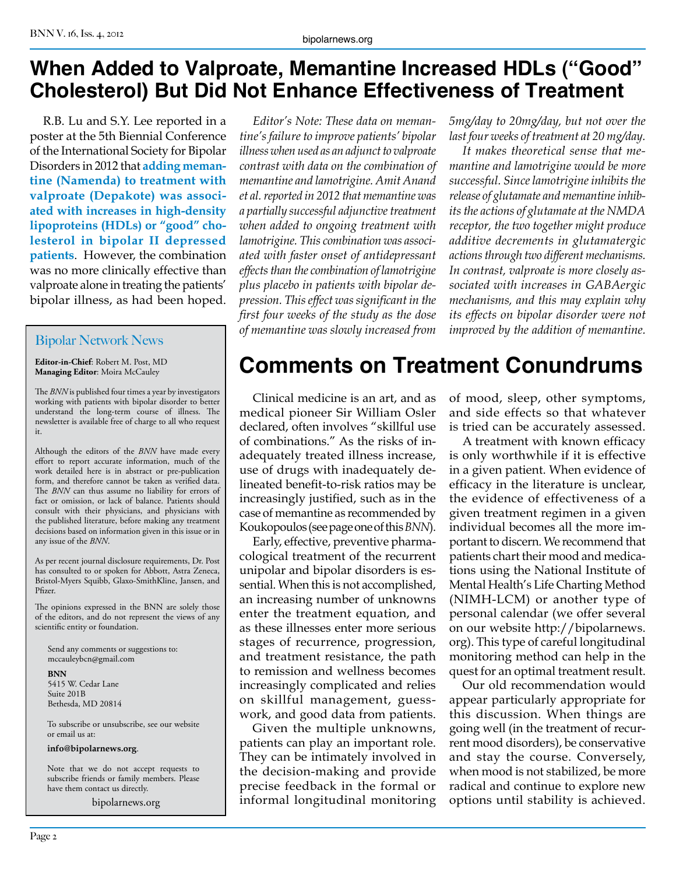## **When Added to Valproate, Memantine Increased HDLs ("Good" Cholesterol) But Did Not Enhance Effectiveness of Treatment**

R.B. Lu and S.Y. Lee reported in a poster at the 5th Biennial Conference of the International Society for Bipolar Disorders in 2012 that **adding memantine (Namenda) to treatment with valproate (Depakote) was associated with increases in high-density lipoproteins (HDLs) or "good" cholesterol in bipolar II depressed patients**. However, the combination was no more clinically effective than valproate alone in treating the patients' bipolar illness, as had been hoped.

#### Bipolar Network News

**Editor-in-Chief**: Robert M. Post, MD **Managing Editor**: Moira McCauley

The *BNN* is published four times a year by investigators working with patients with bipolar disorder to better understand the long-term course of illness. The newsletter is available free of charge to all who request it.

Although the editors of the *BNN* have made every effort to report accurate information, much of the work detailed here is in abstract or pre-publication form, and therefore cannot be taken as verified data. The *BNN* can thus assume no liability for errors of fact or omission, or lack of balance. Patients should consult with their physicians, and physicians with the published literature, before making any treatment decisions based on information given in this issue or in any issue of the *BNN*.

As per recent journal disclosure requirements, Dr. Post has consulted to or spoken for Abbott, Astra Zeneca, Bristol-Myers Squibb, Glaxo-SmithKline, Jansen, and Pfizer.

The opinions expressed in the BNN are solely those of the editors, and do not represent the views of any scientific entity or foundation.

Send any comments or suggestions to: mccauleybcn@gmail.com

**BNN** 5415 W. Cedar Lane Suite 201B Bethesda, MD 20814

To subscribe or unsubscribe, see our website or email us at:

**info@bipolarnews.org**.

Note that we do not accept requests to subscribe friends or family members. Please have them contact us directly.

bipolarnews.org

*Editor's Note: These data on memantine's failure to improve patients' bipolar illness when used as an adjunct to valproate contrast with data on the combination of memantine and lamotrigine. Amit Anand et al. reported in 2012 that memantine was a partially successful adjunctive treatment when added to ongoing treatment with lamotrigine. This combination was associated with faster onset of antidepressant effects than the combination of lamotrigine plus placebo in patients with bipolar depression. This effect was significant in the first four weeks of the study as the dose of memantine was slowly increased from* 

*5mg/day to 20mg/day, but not over the last four weeks of treatment at 20 mg/day.*

*It makes theoretical sense that memantine and lamotrigine would be more successful. Since lamotrigine inhibits the release of glutamate and memantine inhibits the actions of glutamate at the NMDA receptor, the two together might produce additive decrements in glutamatergic actions through two different mechanisms. In contrast, valproate is more closely associated with increases in GABAergic mechanisms, and this may explain why its effects on bipolar disorder were not improved by the addition of memantine.*

# **Comments on Treatment Conundrums**

Clinical medicine is an art, and as medical pioneer Sir William Osler declared, often involves "skillful use of combinations." As the risks of inadequately treated illness increase, use of drugs with inadequately delineated benefit-to-risk ratios may be increasingly justified, such as in the case of memantine as recommended by Koukopoulos (see page one of this *BNN*).

Early, effective, preventive pharmacological treatment of the recurrent unipolar and bipolar disorders is essential. When this is not accomplished, an increasing number of unknowns enter the treatment equation, and as these illnesses enter more serious stages of recurrence, progression, and treatment resistance, the path to remission and wellness becomes increasingly complicated and relies on skillful management, guesswork, and good data from patients.

Given the multiple unknowns, patients can play an important role. They can be intimately involved in the decision-making and provide precise feedback in the formal or informal longitudinal monitoring

of mood, sleep, other symptoms, and side effects so that whatever is tried can be accurately assessed.

A treatment with known efficacy is only worthwhile if it is effective in a given patient. When evidence of efficacy in the literature is unclear, the evidence of effectiveness of a given treatment regimen in a given individual becomes all the more important to discern. We recommend that patients chart their mood and medications using the National Institute of Mental Health's Life Charting Method (NIMH-LCM) or another type of personal calendar (we offer several on our website http://bipolarnews. org). This type of careful longitudinal monitoring method can help in the quest for an optimal treatment result.

Our old recommendation would appear particularly appropriate for this discussion. When things are going well (in the treatment of recurrent mood disorders), be conservative and stay the course. Conversely, when mood is not stabilized, be more radical and continue to explore new options until stability is achieved.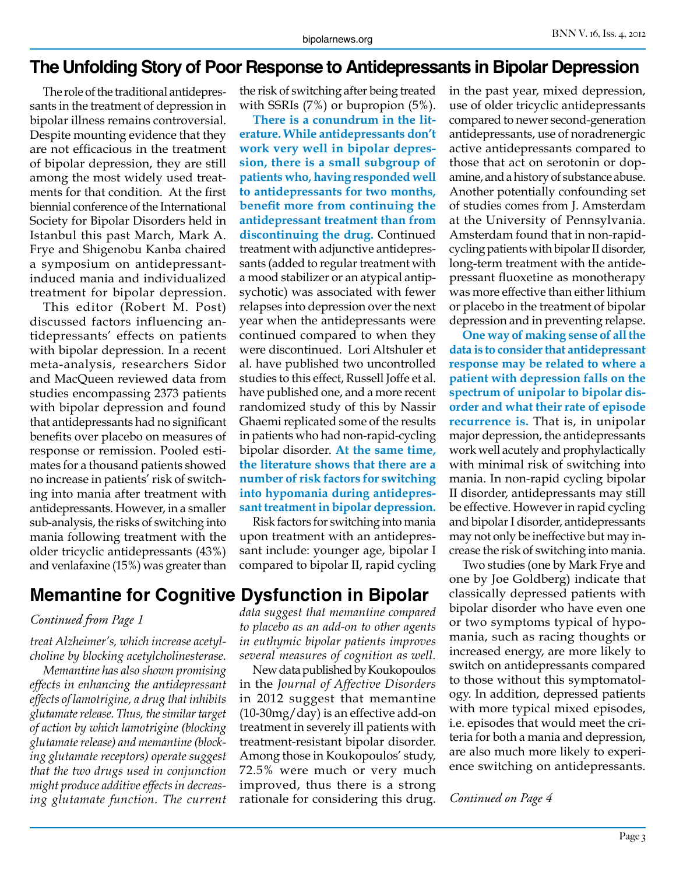### **The Unfolding Story of Poor Response to Antidepressants in Bipolar Depression**

The role of the traditional antidepressants in the treatment of depression in bipolar illness remains controversial. Despite mounting evidence that they are not efficacious in the treatment of bipolar depression, they are still among the most widely used treatments for that condition. At the first biennial conference of the International Society for Bipolar Disorders held in Istanbul this past March, Mark A. Frye and Shigenobu Kanba chaired a symposium on antidepressantinduced mania and individualized treatment for bipolar depression.

This editor (Robert M. Post) discussed factors influencing antidepressants' effects on patients with bipolar depression. In a recent meta-analysis, researchers Sidor and MacQueen reviewed data from studies encompassing 2373 patients with bipolar depression and found that antidepressants had no significant benefits over placebo on measures of response or remission. Pooled estimates for a thousand patients showed no increase in patients' risk of switching into mania after treatment with antidepressants. However, in a smaller sub-analysis, the risks of switching into mania following treatment with the older tricyclic antidepressants (43%) and venlafaxine (15%) was greater than

the risk of switching after being treated with SSRIs (7%) or bupropion (5%).

**There is a conundrum in the literature. While antidepressants don't work very well in bipolar depression, there is a small subgroup of patients who, having responded well to antidepressants for two months, benefit more from continuing the antidepressant treatment than from discontinuing the drug.** Continued treatment with adjunctive antidepressants (added to regular treatment with a mood stabilizer or an atypical antipsychotic) was associated with fewer relapses into depression over the next year when the antidepressants were continued compared to when they were discontinued. Lori Altshuler et al. have published two uncontrolled studies to this effect, Russell Joffe et al. have published one, and a more recent randomized study of this by Nassir Ghaemi replicated some of the results in patients who had non-rapid-cycling bipolar disorder. **At the same time, the literature shows that there are a number of risk factors for switching into hypomania during antidepressant treatment in bipolar depression.**

Risk factors for switching into mania upon treatment with an antidepressant include: younger age, bipolar I compared to bipolar II, rapid cycling

## **Memantine for Cognitive Dysfunction in Bipolar**

#### *Continued from Page 1*

*treat Alzheimer's, which increase acetylcholine by blocking acetylcholinesterase.*

*Memantine has also shown promising effects in enhancing the antidepressant effects of lamotrigine, a drug that inhibits glutamate release. Thus, the similar target of action by which lamotrigine (blocking glutamate release) and memantine (blocking glutamate receptors) operate suggest that the two drugs used in conjunction might produce additive effects in decreasing glutamate function. The current* 

*data suggest that memantine compared to placebo as an add-on to other agents in euthymic bipolar patients improves several measures of cognition as well.*

New data published by Koukopoulos in the *Journal of Affective Disorders*  in 2012 suggest that memantine (10-30mg/day) is an effective add-on treatment in severely ill patients with treatment-resistant bipolar disorder. Among those in Koukopoulos' study, 72.5% were much or very much improved, thus there is a strong rationale for considering this drug. in the past year, mixed depression, use of older tricyclic antidepressants compared to newer second-generation antidepressants, use of noradrenergic active antidepressants compared to those that act on serotonin or dopamine, and a history of substance abuse. Another potentially confounding set of studies comes from J. Amsterdam at the University of Pennsylvania. Amsterdam found that in non-rapidcycling patients with bipolar II disorder, long-term treatment with the antidepressant fluoxetine as monotherapy was more effective than either lithium or placebo in the treatment of bipolar depression and in preventing relapse.

**One way of making sense of all the data is to consider that antidepressant response may be related to where a patient with depression falls on the spectrum of unipolar to bipolar disorder and what their rate of episode recurrence is.** That is, in unipolar major depression, the antidepressants work well acutely and prophylactically with minimal risk of switching into mania. In non-rapid cycling bipolar II disorder, antidepressants may still be effective. However in rapid cycling and bipolar I disorder, antidepressants may not only be ineffective but may increase the risk of switching into mania.

Two studies (one by Mark Frye and one by Joe Goldberg) indicate that classically depressed patients with bipolar disorder who have even one or two symptoms typical of hypomania, such as racing thoughts or increased energy, are more likely to switch on antidepressants compared to those without this symptomatology. In addition, depressed patients with more typical mixed episodes, i.e. episodes that would meet the criteria for both a mania and depression, are also much more likely to experience switching on antidepressants.

*Continued on Page 4*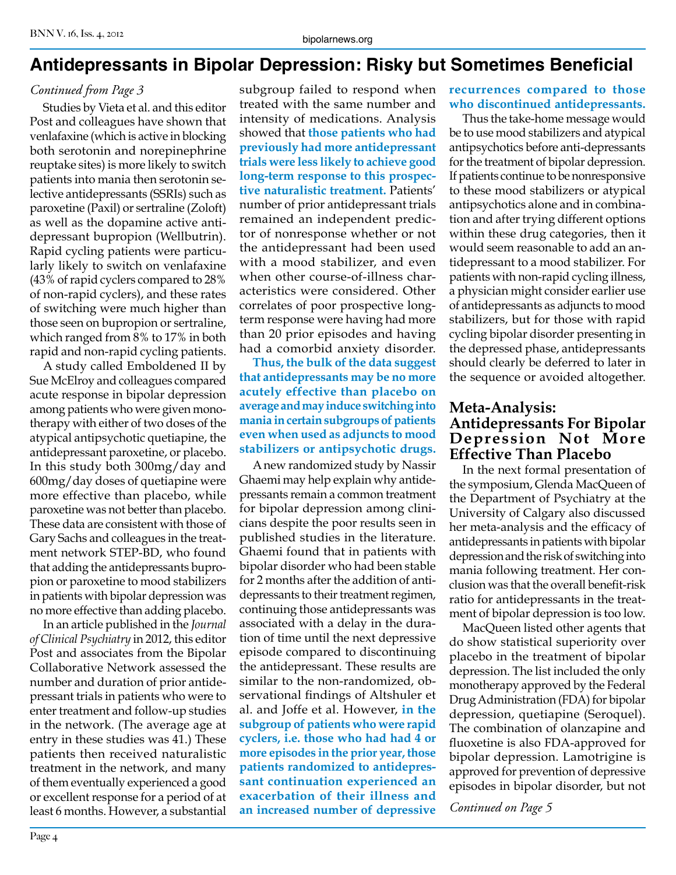## **Antidepressants in Bipolar Depression: Risky but Sometimes Beneficial**

#### *Continued from Page 3*

Studies by Vieta et al. and this editor Post and colleagues have shown that venlafaxine (which is active in blocking both serotonin and norepinephrine reuptake sites) is more likely to switch patients into mania then serotonin selective antidepressants (SSRIs) such as paroxetine (Paxil) or sertraline (Zoloft) as well as the dopamine active antidepressant bupropion (Wellbutrin). Rapid cycling patients were particularly likely to switch on venlafaxine (43% of rapid cyclers compared to 28% of non-rapid cyclers), and these rates of switching were much higher than those seen on bupropion or sertraline, which ranged from 8% to 17% in both rapid and non-rapid cycling patients.

A study called Emboldened II by Sue McElroy and colleagues compared acute response in bipolar depression among patients who were given monotherapy with either of two doses of the atypical antipsychotic quetiapine, the antidepressant paroxetine, or placebo. In this study both 300mg/day and 600mg/day doses of quetiapine were more effective than placebo, while paroxetine was not better than placebo. These data are consistent with those of Gary Sachs and colleagues in the treatment network STEP-BD, who found that adding the antidepressants bupropion or paroxetine to mood stabilizers in patients with bipolar depression was no more effective than adding placebo.

In an article published in the *Journal of Clinical Psychiatry* in 2012, this editor Post and associates from the Bipolar Collaborative Network assessed the number and duration of prior antidepressant trials in patients who were to enter treatment and follow-up studies in the network. (The average age at entry in these studies was 41.) These patients then received naturalistic treatment in the network, and many of them eventually experienced a good or excellent response for a period of at least 6 months. However, a substantial

subgroup failed to respond when treated with the same number and intensity of medications. Analysis showed that **those patients who had previously had more antidepressant trials were less likely to achieve good long-term response to this prospective naturalistic treatment.** Patients' number of prior antidepressant trials remained an independent predictor of nonresponse whether or not the antidepressant had been used with a mood stabilizer, and even when other course-of-illness characteristics were considered. Other correlates of poor prospective longterm response were having had more than 20 prior episodes and having had a comorbid anxiety disorder.

**Thus, the bulk of the data suggest that antidepressants may be no more acutely effective than placebo on average and may induce switching into mania in certain subgroups of patients even when used as adjuncts to mood stabilizers or antipsychotic drugs.**

A new randomized study by Nassir Ghaemi may help explain why antidepressants remain a common treatment for bipolar depression among clinicians despite the poor results seen in published studies in the literature. Ghaemi found that in patients with bipolar disorder who had been stable for 2 months after the addition of antidepressants to their treatment regimen, continuing those antidepressants was associated with a delay in the duration of time until the next depressive episode compared to discontinuing the antidepressant. These results are similar to the non-randomized, observational findings of Altshuler et al. and Joffe et al. However, **in the subgroup of patients who were rapid cyclers, i.e. those who had had 4 or more episodes in the prior year, those patients randomized to antidepressant continuation experienced an exacerbation of their illness and an increased number of depressive**

**recurrences compared to those who discontinued antidepressants.**

Thus the take-home message would be to use mood stabilizers and atypical antipsychotics before anti-depressants for the treatment of bipolar depression. If patients continue to be nonresponsive to these mood stabilizers or atypical antipsychotics alone and in combination and after trying different options within these drug categories, then it would seem reasonable to add an antidepressant to a mood stabilizer. For patients with non-rapid cycling illness, a physician might consider earlier use of antidepressants as adjuncts to mood stabilizers, but for those with rapid cycling bipolar disorder presenting in the depressed phase, antidepressants should clearly be deferred to later in the sequence or avoided altogether.

#### **Meta-Analysis: Antidepressants For Bipolar Depression Not More Effective Than Placebo**

In the next formal presentation of the symposium, Glenda MacQueen of the Department of Psychiatry at the University of Calgary also discussed her meta-analysis and the efficacy of antidepressants in patients with bipolar depression and the risk of switching into mania following treatment. Her conclusion was that the overall benefit-risk ratio for antidepressants in the treatment of bipolar depression is too low.

MacQueen listed other agents that do show statistical superiority over placebo in the treatment of bipolar depression. The list included the only monotherapy approved by the Federal Drug Administration (FDA) for bipolar depression, quetiapine (Seroquel). The combination of olanzapine and fluoxetine is also FDA-approved for bipolar depression. Lamotrigine is approved for prevention of depressive episodes in bipolar disorder, but not

*Continued on Page 5*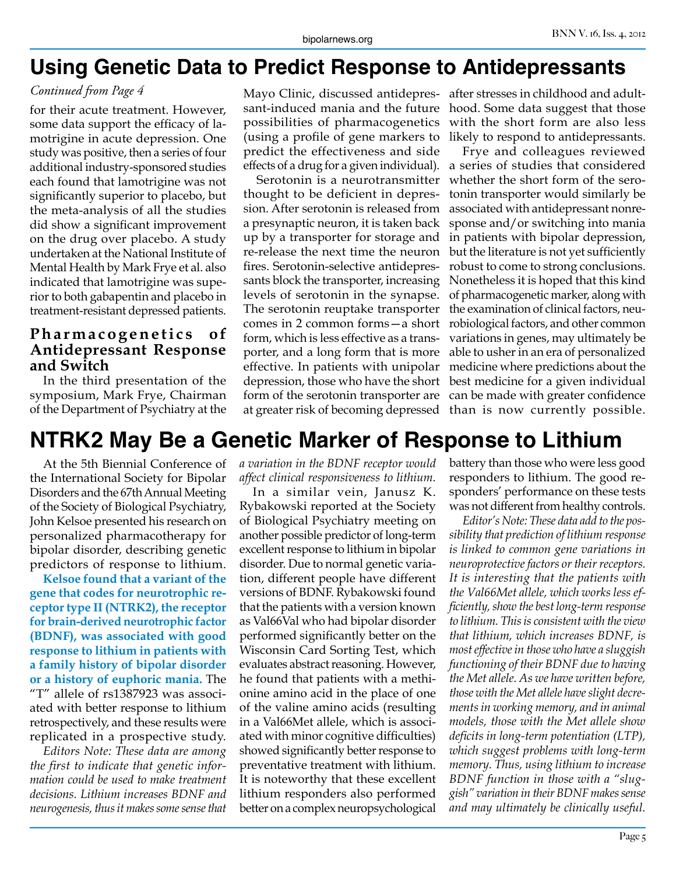## **Using Genetic Data to Predict Response to Antidepressants**

#### *Continued from Page 4*

for their acute treatment. However, some data support the efficacy of lamotrigine in acute depression. One study was positive, then a series of four additional industry-sponsored studies each found that lamotrigine was not significantly superior to placebo, but the meta-analysis of all the studies did show a significant improvement on the drug over placebo. A study undertaken at the National Institute of Mental Health by Mark Frye et al. also indicated that lamotrigine was superior to both gabapentin and placebo in treatment-resistant depressed patients.

#### **Pharmacogenetics** of **Antidepressant Response and Switch**

In the third presentation of the symposium, Mark Frye, Chairman of the Department of Psychiatry at the

Mayo Clinic, discussed antidepres-after stresses in childhood and adultsant-induced mania and the future possibilities of pharmacogenetics (using a profile of gene markers to predict the effectiveness and side effects of a drug for a given individual).

Serotonin is a neurotransmitter thought to be deficient in depression. After serotonin is released from a presynaptic neuron, it is taken back up by a transporter for storage and re-release the next time the neuron fires. Serotonin-selective antidepressants block the transporter, increasing levels of serotonin in the synapse. The serotonin reuptake transporter comes in 2 common forms—a short form, which is less effective as a transporter, and a long form that is more effective. In patients with unipolar depression, those who have the short form of the serotonin transporter are at greater risk of becoming depressed

hood. Some data suggest that those with the short form are also less likely to respond to antidepressants.

Frye and colleagues reviewed a series of studies that considered whether the short form of the serotonin transporter would similarly be associated with antidepressant nonresponse and/or switching into mania in patients with bipolar depression, but the literature is not yet sufficiently robust to come to strong conclusions. Nonetheless it is hoped that this kind of pharmacogenetic marker, along with the examination of clinical factors, neurobiological factors, and other common variations in genes, may ultimately be able to usher in an era of personalized medicine where predictions about the best medicine for a given individual can be made with greater confidence than is now currently possible.

# **NTRK2 May Be a Genetic Marker of Response to Lithium**

At the 5th Biennial Conference of the International Society for Bipolar Disorders and the 67th Annual Meeting of the Society of Biological Psychiatry, John Kelsoe presented his research on personalized pharmacotherapy for bipolar disorder, describing genetic predictors of response to lithium.

**Kelsoe found that a variant of the gene that codes for neurotrophic receptor type II (NTRK2), the receptor for brain-derived neurotrophic factor (BDNF), was associated with good response to lithium in patients with a family history of bipolar disorder or a history of euphoric mania.** The "T" allele of rs1387923 was associated with better response to lithium retrospectively, and these results were replicated in a prospective study.

*Editors Note: These data are among the first to indicate that genetic information could be used to make treatment decisions. Lithium increases BDNF and neurogenesis, thus it makes some sense that* 

*a variation in the BDNF receptor would affect clinical responsiveness to lithium.*

In a similar vein, Janusz K. Rybakowski reported at the Society of Biological Psychiatry meeting on another possible predictor of long-term excellent response to lithium in bipolar disorder. Due to normal genetic variation, different people have different versions of BDNF. Rybakowski found that the patients with a version known as Val66Val who had bipolar disorder performed significantly better on the Wisconsin Card Sorting Test, which evaluates abstract reasoning. However, he found that patients with a methionine amino acid in the place of one of the valine amino acids (resulting in a Val66Met allele, which is associated with minor cognitive difficulties) showed significantly better response to preventative treatment with lithium. It is noteworthy that these excellent lithium responders also performed better on a complex neuropsychological

battery than those who were less good responders to lithium. The good responders' performance on these tests was not different from healthy controls.

*Editor's Note: These data add to the possibility that prediction of lithium response is linked to common gene variations in neuroprotective factors or their receptors. It is interesting that the patients with the Val66Met allele, which works less efficiently, show the best long-term response to lithium. This is consistent with the view that lithium, which increases BDNF, is most effective in those who have a sluggish functioning of their BDNF due to having the Met allele. As we have written before, those with the Met allele have slight decrements in working memory, and in animal models, those with the Met allele show deficits in long-term potentiation (LTP), which suggest problems with long-term memory. Thus, using lithium to increase BDNF function in those with a "sluggish" variation in their BDNF makes sense and may ultimately be clinically useful.*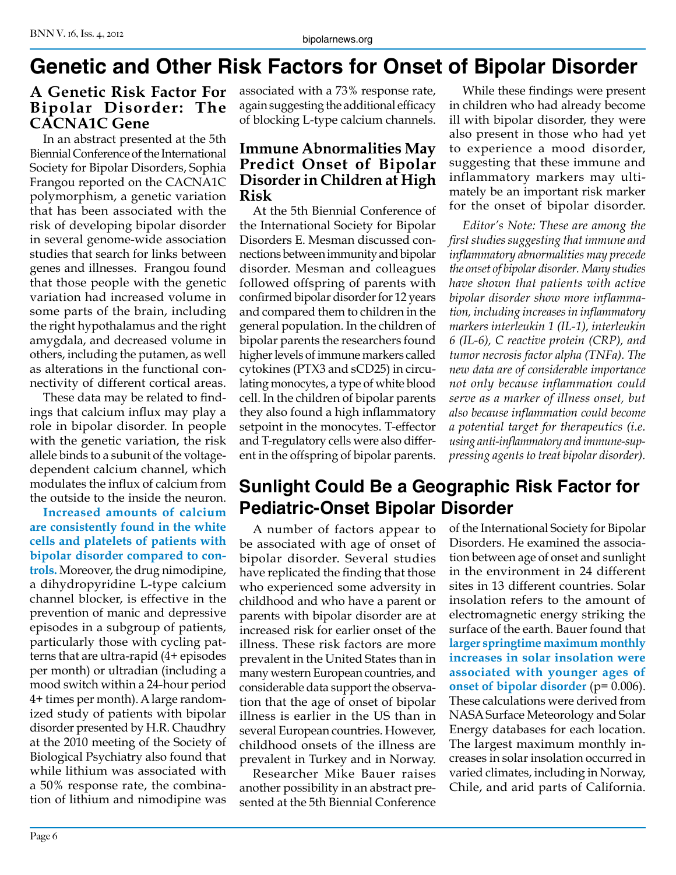# **Genetic and Other Risk Factors for Onset of Bipolar Disorder**

#### **A Genetic Risk Factor For Bipolar Disorder: The CACNA1C Gene**

In an abstract presented at the 5th Biennial Conference of the International Society for Bipolar Disorders, Sophia Frangou reported on the CACNA1C polymorphism, a genetic variation that has been associated with the risk of developing bipolar disorder in several genome-wide association studies that search for links between genes and illnesses. Frangou found that those people with the genetic variation had increased volume in some parts of the brain, including the right hypothalamus and the right amygdala, and decreased volume in others, including the putamen, as well as alterations in the functional connectivity of different cortical areas.

These data may be related to findings that calcium influx may play a role in bipolar disorder. In people with the genetic variation, the risk allele binds to a subunit of the voltagedependent calcium channel, which modulates the influx of calcium from the outside to the inside the neuron.

**Increased amounts of calcium are consistently found in the white cells and platelets of patients with bipolar disorder compared to controls.** Moreover, the drug nimodipine, a dihydropyridine L-type calcium channel blocker, is effective in the prevention of manic and depressive episodes in a subgroup of patients, particularly those with cycling patterns that are ultra-rapid (4+ episodes per month) or ultradian (including a mood switch within a 24-hour period 4+ times per month). A large randomized study of patients with bipolar disorder presented by H.R. Chaudhry at the 2010 meeting of the Society of Biological Psychiatry also found that while lithium was associated with a 50% response rate, the combination of lithium and nimodipine was

associated with a 73% response rate, again suggesting the additional efficacy of blocking L-type calcium channels.

#### **Immune Abnormalities May Predict Onset of Bipolar Disorder in Children at High Risk**

At the 5th Biennial Conference of the International Society for Bipolar Disorders E. Mesman discussed connections between immunity and bipolar disorder. Mesman and colleagues followed offspring of parents with confirmed bipolar disorder for 12 years and compared them to children in the general population. In the children of bipolar parents the researchers found higher levels of immune markers called cytokines (PTX3 and sCD25) in circulating monocytes, a type of white blood cell. In the children of bipolar parents they also found a high inflammatory setpoint in the monocytes. T-effector and T-regulatory cells were also different in the offspring of bipolar parents.

While these findings were present in children who had already become ill with bipolar disorder, they were also present in those who had yet to experience a mood disorder, suggesting that these immune and inflammatory markers may ultimately be an important risk marker for the onset of bipolar disorder.

*Editor's Note: These are among the first studies suggesting that immune and inflammatory abnormalities may precede the onset of bipolar disorder. Many studies have shown that patients with active bipolar disorder show more inflammation, including increases in inflammatory markers interleukin 1 (IL-1), interleukin 6 (IL-6), C reactive protein (CRP), and tumor necrosis factor alpha (TNFa). The new data are of considerable importance not only because inflammation could serve as a marker of illness onset, but also because inflammation could become a potential target for therapeutics (i.e. using anti-inflammatory and immune-suppressing agents to treat bipolar disorder).*

## **Sunlight Could Be a Geographic Risk Factor for Pediatric-Onset Bipolar Disorder**

A number of factors appear to be associated with age of onset of bipolar disorder. Several studies have replicated the finding that those who experienced some adversity in childhood and who have a parent or parents with bipolar disorder are at increased risk for earlier onset of the illness. These risk factors are more prevalent in the United States than in many western European countries, and considerable data support the observation that the age of onset of bipolar illness is earlier in the US than in several European countries. However, childhood onsets of the illness are prevalent in Turkey and in Norway.

Researcher Mike Bauer raises another possibility in an abstract presented at the 5th Biennial Conference

of the International Society for Bipolar Disorders. He examined the association between age of onset and sunlight in the environment in 24 different sites in 13 different countries. Solar insolation refers to the amount of electromagnetic energy striking the surface of the earth. Bauer found that **larger springtime maximum monthly increases in solar insolation were associated with younger ages of onset of bipolar disorder** (p= 0.006). These calculations were derived from NASA Surface Meteorology and Solar Energy databases for each location. The largest maximum monthly increases in solar insolation occurred in varied climates, including in Norway, Chile, and arid parts of California.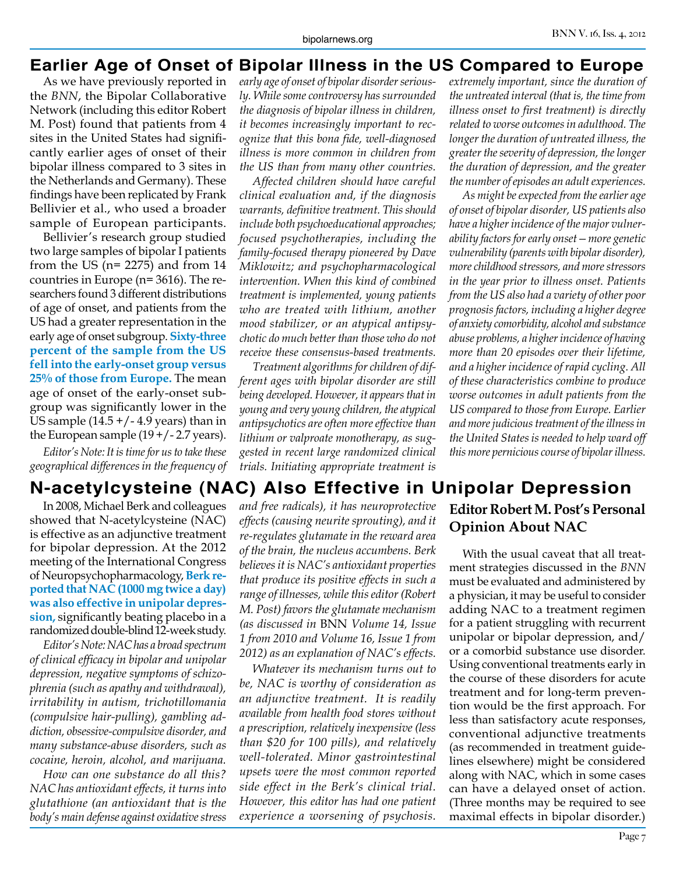#### **Earlier Age of Onset of Bipolar Illness in the US Compared to Europe**

As we have previously reported in the *BNN*, the Bipolar Collaborative Network (including this editor Robert M. Post) found that patients from 4 sites in the United States had significantly earlier ages of onset of their bipolar illness compared to 3 sites in the Netherlands and Germany). These findings have been replicated by Frank Bellivier et al., who used a broader sample of European participants.

Bellivier's research group studied two large samples of bipolar I patients from the US ( $n= 2275$ ) and from 14 countries in Europe (n= 3616). The researchers found 3 different distributions of age of onset, and patients from the US had a greater representation in the early age of onset subgroup. **Sixty-three percent of the sample from the US fell into the early-onset group versus 25% of those from Europe.** The mean age of onset of the early-onset subgroup was significantly lower in the US sample  $(14.5 + / - 4.9$  years) than in the European sample  $(19 + / - 2.7$  years).

*Editor's Note: It is time for us to take these geographical differences in the frequency of*

In 2008, Michael Berk and colleagues showed that N-acetylcysteine (NAC) is effective as an adjunctive treatment for bipolar depression. At the 2012 meeting of the International Congress of Neuropsychopharmacology, **Berk reported that NAC (1000 mg twice a day) was also effective in unipolar depression,** significantly beating placebo in a randomized double-blind 12-week study.

*Editor's Note: NAC has a broad spectrum of clinical efficacy in bipolar and unipolar depression, negative symptoms of schizophrenia (such as apathy and withdrawal), irritability in autism, trichotillomania (compulsive hair-pulling), gambling addiction, obsessive-compulsive disorder, and many substance-abuse disorders, such as cocaine, heroin, alcohol, and marijuana.* 

*How can one substance do all this? NAC has antioxidant effects, it turns into glutathione (an antioxidant that is the body's main defense against oxidative stress*  *early age of onset of bipolar disorder seriously. While some controversy has surrounded the diagnosis of bipolar illness in children, it becomes increasingly important to recognize that this bona fide, well-diagnosed illness is more common in children from the US than from many other countries.* 

*Affected children should have careful clinical evaluation and, if the diagnosis warrants, definitive treatment. This should include both psychoeducational approaches; focused psychotherapies, including the family-focused therapy pioneered by Dave Miklowitz; and psychopharmacological intervention. When this kind of combined treatment is implemented, young patients who are treated with lithium, another mood stabilizer, or an atypical antipsychotic do much better than those who do not receive these consensus-based treatments.*

*Treatment algorithms for children of different ages with bipolar disorder are still being developed. However, it appears that in young and very young children, the atypical antipsychotics are often more effective than lithium or valproate monotherapy, as suggested in recent large randomized clinical trials. Initiating appropriate treatment is* 

*extremely important, since the duration of the untreated interval (that is, the time from illness onset to first treatment) is directly related to worse outcomes in adulthood. The longer the duration of untreated illness, the greater the severity of depression, the longer the duration of depression, and the greater the number of episodes an adult experiences.*

*As might be expected from the earlier age of onset of bipolar disorder, US patients also have a higher incidence of the major vulnerability factors for early onset—more genetic vulnerability (parents with bipolar disorder), more childhood stressors, and more stressors in the year prior to illness onset. Patients from the US also had a variety of other poor prognosis factors, including a higher degree of anxiety comorbidity, alcohol and substance abuse problems, a higher incidence of having more than 20 episodes over their lifetime, and a higher incidence of rapid cycling. All of these characteristics combine to produce worse outcomes in adult patients from the US compared to those from Europe. Earlier and more judicious treatment of the illness in the United States is needed to help ward off this more pernicious course of bipolar illness.*

## **N-acetylcysteine (NAC) Also Effective in Unipolar Depression**

*and free radicals), it has neuroprotective effects (causing neurite sprouting), and it re-regulates glutamate in the reward area of the brain, the nucleus accumbens. Berk believes it is NAC's antioxidant properties that produce its positive effects in such a range of illnesses, while this editor (Robert M. Post) favors the glutamate mechanism (as discussed in* BNN *Volume 14, Issue 1 from 2010 and Volume 16, Issue 1 from 2012) as an explanation of NAC's effects.*

*Whatever its mechanism turns out to be, NAC is worthy of consideration as an adjunctive treatment. It is readily available from health food stores without a prescription, relatively inexpensive (less than \$20 for 100 pills), and relatively well-tolerated. Minor gastrointestinal upsets were the most common reported side effect in the Berk's clinical trial. However, this editor has had one patient experience a worsening of psychosis.*

## **Editor Robert M. Post's Personal Opinion About NAC**

With the usual caveat that all treatment strategies discussed in the *BNN* must be evaluated and administered by a physician, it may be useful to consider adding NAC to a treatment regimen for a patient struggling with recurrent unipolar or bipolar depression, and/ or a comorbid substance use disorder. Using conventional treatments early in the course of these disorders for acute treatment and for long-term prevention would be the first approach. For less than satisfactory acute responses, conventional adjunctive treatments (as recommended in treatment guidelines elsewhere) might be considered along with NAC, which in some cases can have a delayed onset of action. (Three months may be required to see maximal effects in bipolar disorder.)